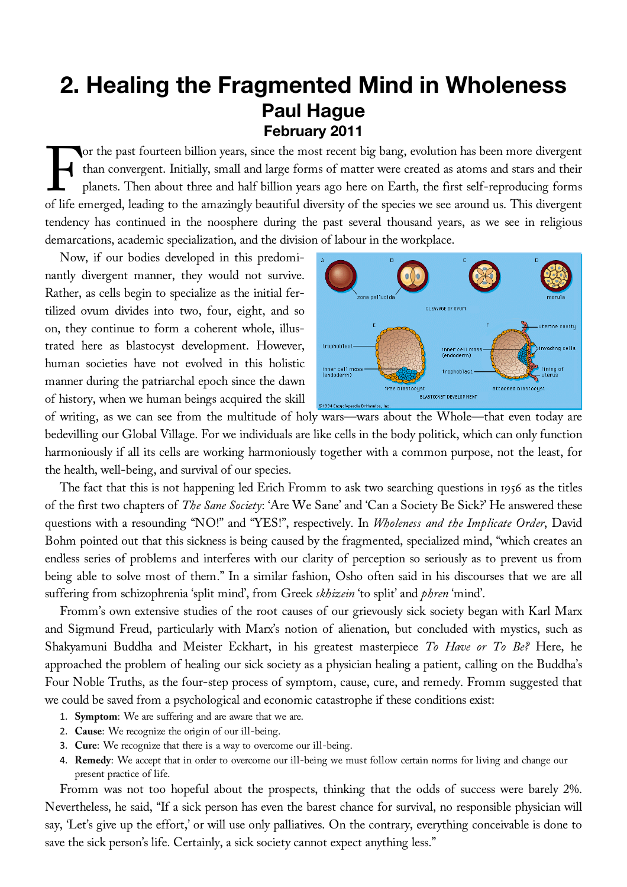## **2. Healing the Fragmented Mind in Wholeness Paul Hague February 2011**

or the past fourteen billion years, since the most recent big bang, evolution has been more divergent than convergent. Initially, small and large forms of matter were created as atoms and stars and their planets. Then about three and half billion years ago here on Earth, the first self-reproducing forms or the past fourteen billion years, since the most recent big bang, evolution has been more divergent than convergent. Initially, small and large forms of matter were created as atoms and stars and their planets. Then abou tendency has continued in the noosphere during the past several thousand years, as we see in religious demarcations, academic specialization, and the division of labour in the workplace.

Now, if our bodies developed in this predominantly divergent manner, they would not survive. Rather, as cells begin to specialize as the initial fertilized ovum divides into two, four, eight, and so on, they continue to form a coherent whole, illustrated here as blastocyst development. However, human societies have not evolved in this holistic manner during the patriarchal epoch since the dawn of history, when we human beings acquired the skill



of writing, as we can see from the multitude of holy wars—wars about the Whole—that even today are bedevilling our Global Village. For we individuals are like cells in the body politick, which can only function harmoniously if all its cells are working harmoniously together with a common purpose, not the least, for the health, well-being, and survival of our species.

The fact that this is not happening led Erich Fromm to ask two searching questions in 1956 as the titles of the first two chapters of *The Sane Society*: 'Are We Sane' and 'Can a Society Be Sick?' He answered these questions with a resounding "NO!" and "YES!", respectively. In *Wholeness and the Implicate Order*, David Bohm pointed out that this sickness is being caused by the fragmented, specialized mind, "which creates an endless series of problems and interferes with our clarity of perception so seriously as to prevent us from being able to solve most of them." In a similar fashion, Osho often said in his discourses that we are all suffering from schizophrenia 'split mind', from Greek *skhizein* 'to split' and *phren* 'mind'.

Fromm's own extensive studies of the root causes of our grievously sick society began with Karl Marx and Sigmund Freud, particularly with Marx's notion of alienation, but concluded with mystics, such as Shakyamuni Buddha and Meister Eckhart, in his greatest masterpiece *To Have or To Be?* Here, he approached the problem of healing our sick society as a physician healing a patient, calling on the Buddha's Four Noble Truths, as the four-step process of symptom, cause, cure, and remedy. Fromm suggested that we could be saved from a psychological and economic catastrophe if these conditions exist:

- 1. **Symptom**: We are suffering and are aware that we are.
- 2. **Cause**: We recognize the origin of our ill-being.
- 3. **Cure**: We recognize that there is a way to overcome our ill-being.
- 4. **Remedy**: We accept that in order to overcome our ill-being we must follow certain norms for living and change our present practice of life.

Fromm was not too hopeful about the prospects, thinking that the odds of success were barely 2%. Nevertheless, he said, "If a sick person has even the barest chance for survival, no responsible physician will say, 'Let's give up the effort,' or will use only palliatives. On the contrary, everything conceivable is done to save the sick person's life. Certainly, a sick society cannot expect anything less."